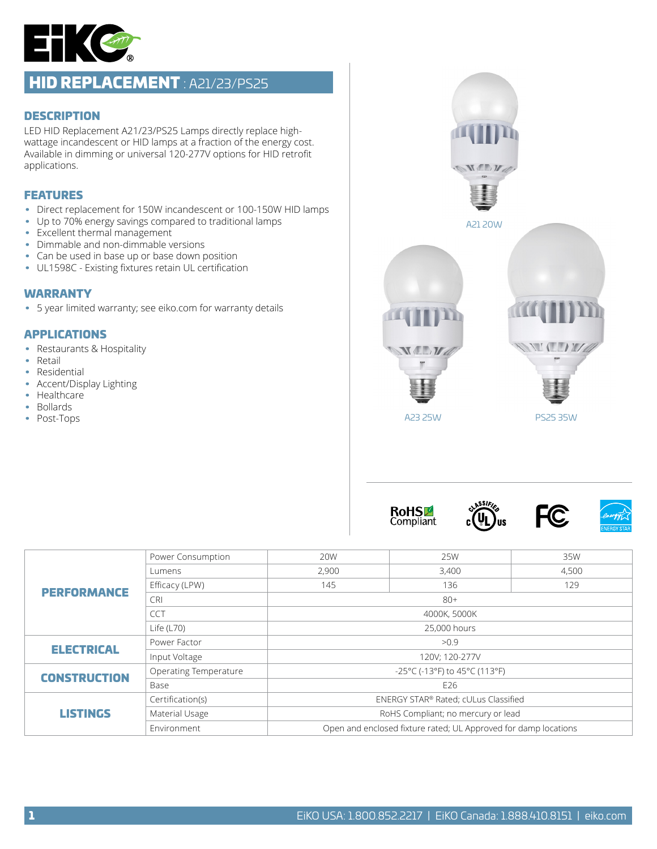

# HID REPLACEMENT : A21/23/PS25

### **DESCRIPTION**

LED HID Replacement A21/23/PS25 Lamps directly replace highwattage incandescent or HID lamps at a fraction of the energy cost. Available in dimming or universal 120-277V options for HID retrofit applications.

### FEATURES

- Direct replacement for 150W incandescent or 100-150W HID lamps
- Up to 70% energy savings compared to traditional lamps
- Excellent thermal management
- Dimmable and non-dimmable versions
- Can be used in base up or base down position
- UL1598C Existing fixtures retain UL certification

### WARRANTY

• 5 year limited warranty; see eiko.com for warranty details

### APPLICATIONS

- Restaurants & Hospitality
- Retail
- Residential
- Accent/Display Lighting
- Healthcare
- Bollards
- Post-Tops



**RoHSLE Compliant** 







|                     | Power Consumption     | 20W                                                             | 25W   | 35W   |  |  |
|---------------------|-----------------------|-----------------------------------------------------------------|-------|-------|--|--|
| <b>PERFORMANCE</b>  | Lumens                | 2,900                                                           | 3,400 | 4,500 |  |  |
|                     | Efficacy (LPW)        | 145                                                             | 136   | 129   |  |  |
|                     | <b>CRI</b>            | $80+$                                                           |       |       |  |  |
|                     | <b>CCT</b>            | 4000K, 5000K                                                    |       |       |  |  |
|                     | Life $(L70)$          | 25,000 hours                                                    |       |       |  |  |
| <b>ELECTRICAL</b>   | Power Factor          | >0.9                                                            |       |       |  |  |
|                     | Input Voltage         | 120V; 120-277V                                                  |       |       |  |  |
| <b>CONSTRUCTION</b> | Operating Temperature | -25°C (-13°F) to 45°C (113°F)                                   |       |       |  |  |
|                     | Base                  | E26                                                             |       |       |  |  |
| <b>LISTINGS</b>     | Certification(s)      | ENERGY STAR® Rated; cULus Classified                            |       |       |  |  |
|                     | Material Usage        | RoHS Compliant; no mercury or lead                              |       |       |  |  |
|                     | Environment           | Open and enclosed fixture rated; UL Approved for damp locations |       |       |  |  |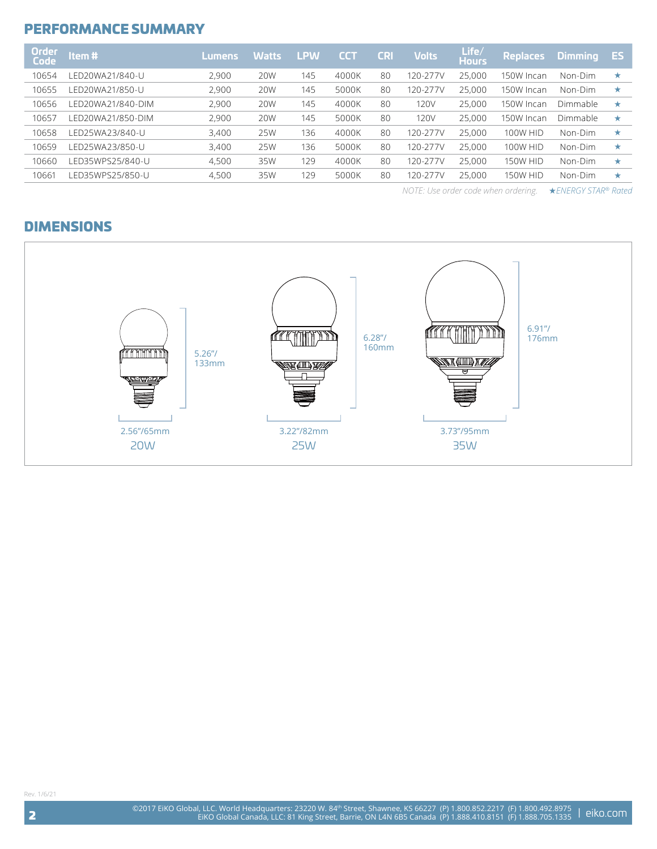### PERFORMANCE SUMMARY

| <b>Order</b><br><b>Code</b> | Item#             | <b>Lumens</b> | <b>Watts</b> | <b>LPW</b> | <b>CCT</b> | <b>CRI</b> | <b>Volts</b> | Life/<br><b>Hours</b> | <b>Replaces</b> | <b>Dimmina</b> | <b>ES</b> |
|-----------------------------|-------------------|---------------|--------------|------------|------------|------------|--------------|-----------------------|-----------------|----------------|-----------|
| 10654                       | LED20WA21/840-U   | 2.900         | 20W          | 145        | 4000K      | 80         | 120-277V     | 25,000                | 150W Incan      | Non-Dim        | ★         |
| 10655                       | FD20WA21/850-U    | 2,900         | 20W          | 145        | 5000K      | 80         | 120-277V     | 25,000                | 150W Incan      | Non-Dim        | ★         |
| 10656                       | LED20WA21/840-DIM | 2.900         | 20W          | 145        | 4000K      | 80         | 120V         | 25,000                | 150W Incan      | Dimmable       | $\star$   |
| 10657                       | FD20WA21/850-DIM  | 2.900         | 20W          | 145        | 5000K      | 80         | 120V         | 25,000                | 150W Incan      | Dimmable       | $\star$   |
| 10658                       | LED25WA23/840-U   | 3,400         | 25W          | 136        | 4000K      | 80         | 120-277V     | 25,000                | <b>100W HID</b> | Non-Dim        | ★         |
| 10659                       | LED25WA23/850-U   | 3,400         | 25W          | 136        | 5000K      | 80         | 120-277V     | 25,000                | <b>100W HID</b> | Non-Dim        | $\star$   |
| 10660                       | LED35WPS25/840-U  | 4,500         | 35W          | 129        | 4000K      | 80         | 120-277V     | 25,000                | <b>150W HID</b> | Non-Dim        | ★         |
| 10661                       | LED35WPS25/850-U  | 4,500         | 35W          | 29         | 5000K      | 80         | $20 - 277V$  | 25,000                | <b>150W HID</b> | Non-Dim        | ★         |

*NOTE: Use order code when ordering.* ★*ENERGY STAR® Rated* 

### DIMENSIONS